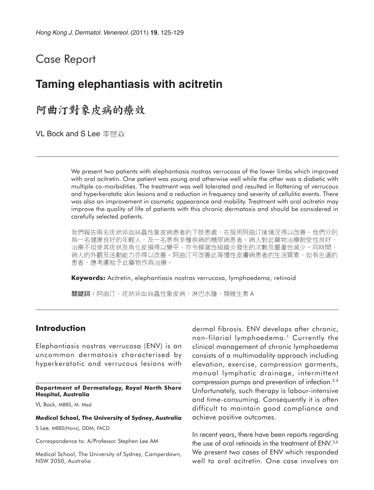# Case Report

# **Taming elephantiasis with acitretin**

阿曲汀對象皮病的療效

VL Bock and S Lee 李啓焱

We present two patients with elephantiasis nostras verrucosa of the lower limbs which improved with oral acitretin. One patient was young and otherwise well while the other was a diabetic with multiple co-morbidities. The treatment was well tolerated and resulted in flattening of verrucous and hyperkeratotic skin lesions and a reduction in frequency and severity of cellulitic events. There was also an improvement in cosmetic appearance and mobility. Treatment with oral acitretin may improve the quality of life of patients with this chronic dermatosis and should be considered in carefully selected patients.

我們報告兩名疣狀非血絲蟲性象皮病患者的下肢患處,在服用阿曲汀後情況得以改善。他們分別 爲一名健康良好的年輕人,及一名患有多種疾病的糖尿病患者。病人對此藥物治療耐受性良好, 治療不但使其疣狀及角化皮損得以變平,亦令蜂窩性組織炎發生的次數及嚴重性減少。同時間, 病人的外觀及活動能力亦得以改善。阿曲汀可改善此等慢性皮膚病患者的生活質素,如有合適的 患者,應考慮給予此藥物作爲治療。

**Keywords:** Acitretin, elephantiasis nostras verrucosa, lymphoedema, retinoid

關鍵詞:阿曲汀,疣狀非血絲蟲性象皮病,淋巴水腫,類維生素A

### **Introduction**

Elephantiasis nostras verrucosa (ENV) is an uncommon dermatosis characterised by hyperkeratotic and verrucous lesions with

#### **Department of Dermatology, Royal North Shore Hospital, Australia**

VL Bock, MBBS, M. Med

#### **Medical School, The University of Sydney, Australia**

S Lee, MBBS(Hons), DDM, FACD

Correspondence to: A/Professor Stephen Lee AM

Medical School, The University of Sydney, Camperdown, NSW 2050, Australia

dermal fibrosis. ENV develops after chronic, non-filarial lymphoedema.<sup>1</sup> Currently the clinical management of chronic lymphoedema consists of a multimodality approach including elevation, exercise, compression garments, manual lymphatic drainage, intermittent compression pumps and prevention of infection.2-4 Unfortunately, such therapy is labour-intensive and time-consuming. Consequently it is often difficult to maintain good compliance and achieve positive outcomes.

In recent years, there have been reports regarding the use of oral retinoids in the treatment of ENV.<sup>5,6</sup> We present two cases of ENV which responded well to oral acitretin. One case involves an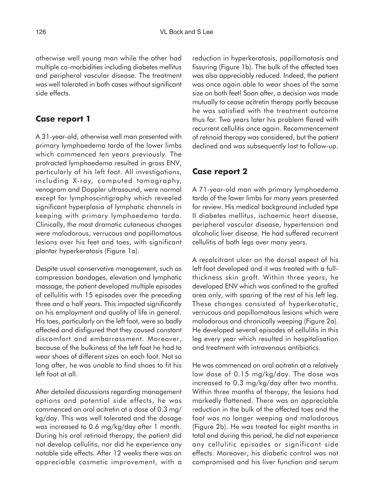otherwise well young man while the other had multiple co-morbidities including diabetes mellitus and peripheral vascular disease. The treatment was well tolerated in both cases without significant side effects.

## **Case report 1**

A 31-year-old, otherwise well man presented with primary lymphoedema tarda of the lower limbs which commenced ten years previously. The protracted lymphoedema resulted in gross ENV, particularly of his left foot. All investigations, including X-ray, computed tomography, venogram and Doppler ultrasound, were normal except for lymphoscintigraphy which revealed significant hyperplasia of lymphatic channels in keeping with primary lymphoedema tarda. Clinically, the most dramatic cutaneous changes were malodorous, verrucous and papillomatous lesions over his feet and toes, with significant plantar hyperkeratosis (Figure 1a).

Despite usual conservative management, such as compression bandages, elevation and lymphatic massage, the patient developed multiple episodes of cellulitis with 15 episodes over the preceding three and a half years. This impacted significantly on his employment and quality of life in general. His toes, particularly on the left foot, were so badly affected and disfigured that they caused constant discomfort and embarrassment. Moreover, because of the bulkiness of the left foot he had to wear shoes of different sizes on each foot. Not so long after, he was unable to find shoes to fit his left foot at all.

After detailed discussions regarding management options and potential side effects, he was commenced on oral acitretin at a dose of 0.3 mg/ kg/day. This was well tolerated and the dosage was increased to 0.6 mg/kg/day after 1 month. During his oral retinoid therapy, the patient did not develop cellulitis, nor did he experience any notable side effects. After 12 weeks there was an appreciable cosmetic improvement, with a reduction in hyperkeratosis, papillomatosis and fissuring (Figure 1b). The bulk of the affected toes was also appreciably reduced. Indeed, the patient was once again able to wear shoes of the same size on both feet! Soon after, a decision was made mutually to cease acitretin therapy partly because he was satisfied with the treatment outcome thus far. Two years later his problem flared with recurrent cellulitis once again. Recommencement of retinoid therapy was considered, but the patient declined and was subsequently lost to follow-up.

## **Case report 2**

A 71-year-old man with primary lymphoedema tarda of the lower limbs for many years presented for review. His medical background included type II diabetes mellitus, ischaemic heart disease, peripheral vascular disease, hypertension and alcoholic liver disease. He had suffered recurrent cellulitis of both legs over many years.

A recalcitrant ulcer on the dorsal aspect of his left foot developed and it was treated with a fullthickness skin graft. Within three years, he developed ENV which was confined to the grafted area only, with sparing of the rest of his left leg. These changes consisted of hyperkeratotic, verrucous and papillomatous lesions which were malodorous and chronically weeping (Figure 2a). He developed several episodes of cellulitis in this leg every year which resulted in hospitalisation and treatment with intravenous antibiotics.

He was commenced on oral acitretin at a relatively low dose of 0.15 mg/kg/day. The dose was increased to 0.3 mg/kg/day after two months. Within three months of therapy, the lesions had markedly flattened. There was an appreciable reduction in the bulk of the affected toes and the foot was no longer weeping and malodorous (Figure 2b). He was treated for eight months in total and during this period, he did not experience any cellulitic episodes or significant side effects. Moreover, his diabetic control was not compromised and his liver function and serum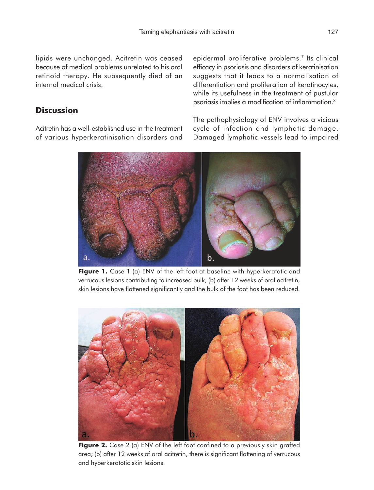lipids were unchanged. Acitretin was ceased because of medical problems unrelated to his oral retinoid therapy. He subsequently died of an internal medical crisis.

epidermal proliferative problems.7 Its clinical efficacy in psoriasis and disorders of keratinisation suggests that it leads to a normalisation of differentiation and proliferation of keratinocytes, while its usefulness in the treatment of pustular psoriasis implies a modification of inflammation.8

# **Discussion**

Acitretin has a well-established use in the treatment of various hyperkeratinisation disorders and The pathophysiology of ENV involves a vicious cycle of infection and lymphatic damage. Damaged lymphatic vessels lead to impaired



**Figure 1.** Case 1 (a) ENV of the left foot at baseline with hyperkeratotic and verrucous lesions contributing to increased bulk; (b) after 12 weeks of oral acitretin, skin lesions have flattened significantly and the bulk of the foot has been reduced.



**Figure 2.** Case 2 (a) ENV of the left foot confined to a previously skin grafted area; (b) after 12 weeks of oral acitretin, there is significant flattening of verrucous and hyperkeratotic skin lesions.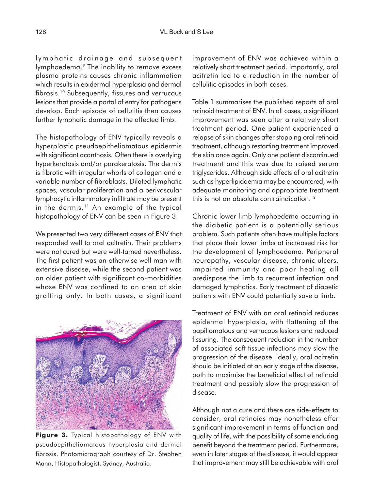lymphatic drainage and subsequent lymphoedema.9 The inability to remove excess plasma proteins causes chronic inflammation which results in epidermal hyperplasia and dermal fibrosis.10 Subsequently, fissures and verrucous lesions that provide a portal of entry for pathogens develop. Each episode of cellulitis then causes further lymphatic damage in the affected limb.

The histopathology of ENV typically reveals a hyperplastic pseudoepitheliomatous epidermis with significant acanthosis. Often there is overlying hyperkeratosis and/or parakeratosis. The dermis is fibrotic with irregular whorls of collagen and a variable number of fibroblasts. Dilated lymphatic spaces, vascular proliferation and a perivascular lymphocytic inflammatory infiltrate may be present in the dermis.<sup>11</sup> An example of the typical histopathology of ENV can be seen in Figure 3.

We presented two very different cases of ENV that responded well to oral acitretin. Their problems were not cured but were well-tamed nevertheless. The first patient was an otherwise well man with extensive disease, while the second patient was an older patient with significant co-morbidities whose ENV was confined to an area of skin grafting only. In both cases, a significant



**Figure 3.** Typical histopathology of ENV with pseudoepitheliomatous hyperplasia and dermal fibrosis. Photomicrograph courtesy of Dr. Stephen Mann, Histopathologist, Sydney, Australia.

improvement of ENV was achieved within a relatively short treatment period. Importantly, oral acitretin led to a reduction in the number of cellulitic episodes in both cases.

Table 1 summarises the published reports of oral retinoid treatment of ENV. In all cases, a significant improvement was seen after a relatively short treatment period. One patient experienced a relapse of skin changes after stopping oral retinoid treatment, although restarting treatment improved the skin once again. Only one patient discontinued treatment and this was due to raised serum triglycerides. Although side effects of oral acitretin such as hyperlipidaemia may be encountered, with adequate monitoring and appropriate treatment this is not an absolute contraindication.<sup>12</sup>

Chronic lower limb lymphoedema occurring in the diabetic patient is a potentially serious problem. Such patients often have multiple factors that place their lower limbs at increased risk for the development of lymphoedema. Peripheral neuropathy, vascular disease, chronic ulcers, impaired immunity and poor healing all predispose the limb to recurrent infection and damaged lymphatics. Early treatment of diabetic patients with ENV could potentially save a limb.

Treatment of ENV with an oral retinoid reduces epidermal hyperplasia, with flattening of the papillomatous and verrucous lesions and reduced fissuring. The consequent reduction in the number of associated soft tissue infections may slow the progression of the disease. Ideally, oral acitretin should be initiated at an early stage of the disease, both to maximise the beneficial effect of retinoid treatment and possibly slow the progression of disease.

Although not a cure and there are side-effects to consider, oral retinoids may nonetheless offer significant improvement in terms of function and quality of life, with the possibility of some enduring benefit beyond the treatment period. Furthermore, even in later stages of the disease, it would appear that improvement may still be achievable with oral